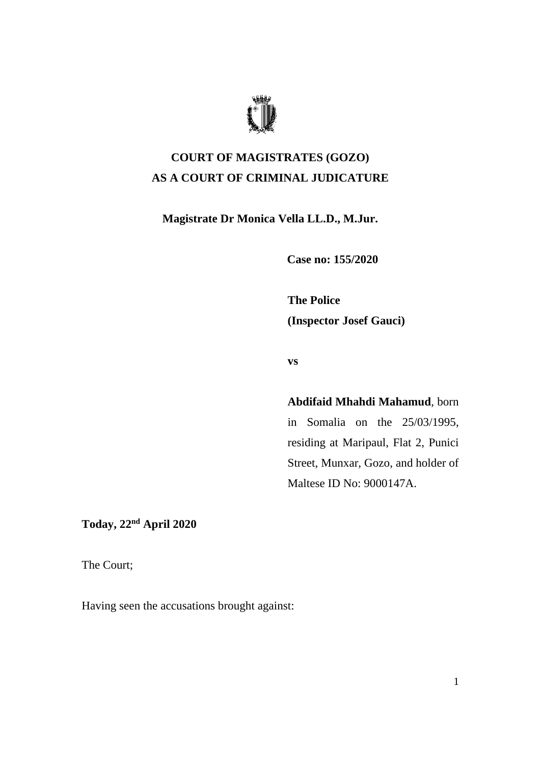

## **COURT OF MAGISTRATES (GOZO) AS A COURT OF CRIMINAL JUDICATURE**

**Magistrate Dr Monica Vella LL.D., M.Jur.**

**Case no: 155/2020**

**The Police (Inspector Josef Gauci)**

**vs**

**Abdifaid Mhahdi Mahamud**, born

in Somalia on the 25/03/1995, residing at Maripaul, Flat 2, Punici Street, Munxar, Gozo, and holder of Maltese ID No: 9000147A.

**Today, 22nd April 2020**

The Court;

Having seen the accusations brought against: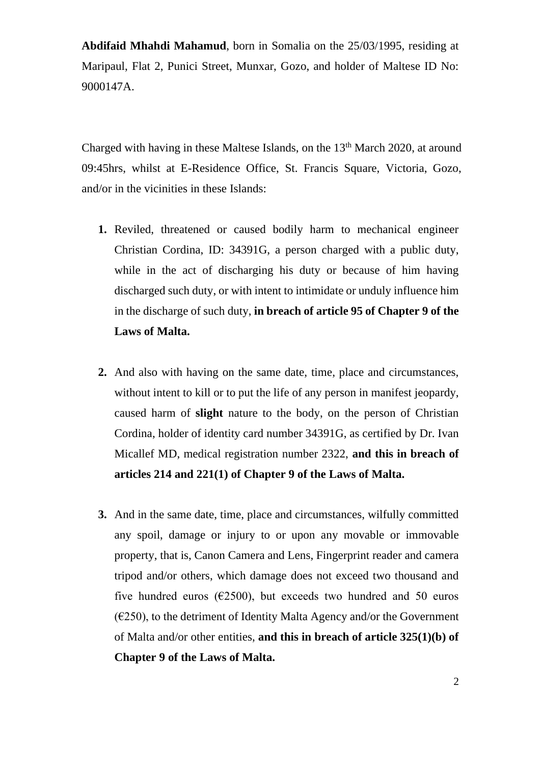**Abdifaid Mhahdi Mahamud**, born in Somalia on the 25/03/1995, residing at Maripaul, Flat 2, Punici Street, Munxar, Gozo, and holder of Maltese ID No: 9000147A.

Charged with having in these Maltese Islands, on the 13<sup>th</sup> March 2020, at around 09:45hrs, whilst at E-Residence Office, St. Francis Square, Victoria, Gozo, and/or in the vicinities in these Islands:

- **1.** Reviled, threatened or caused bodily harm to mechanical engineer Christian Cordina, ID: 34391G, a person charged with a public duty, while in the act of discharging his duty or because of him having discharged such duty, or with intent to intimidate or unduly influence him in the discharge of such duty, **in breach of article 95 of Chapter 9 of the Laws of Malta.**
- **2.** And also with having on the same date, time, place and circumstances, without intent to kill or to put the life of any person in manifest jeopardy, caused harm of **slight** nature to the body, on the person of Christian Cordina, holder of identity card number 34391G, as certified by Dr. Ivan Micallef MD, medical registration number 2322, **and this in breach of articles 214 and 221(1) of Chapter 9 of the Laws of Malta.**
- **3.** And in the same date, time, place and circumstances, wilfully committed any spoil, damage or injury to or upon any movable or immovable property, that is, Canon Camera and Lens, Fingerprint reader and camera tripod and/or others, which damage does not exceed two thousand and five hundred euros ( $\epsilon$ 2500), but exceeds two hundred and 50 euros  $(E250)$ , to the detriment of Identity Malta Agency and/or the Government of Malta and/or other entities, **and this in breach of article 325(1)(b) of Chapter 9 of the Laws of Malta.**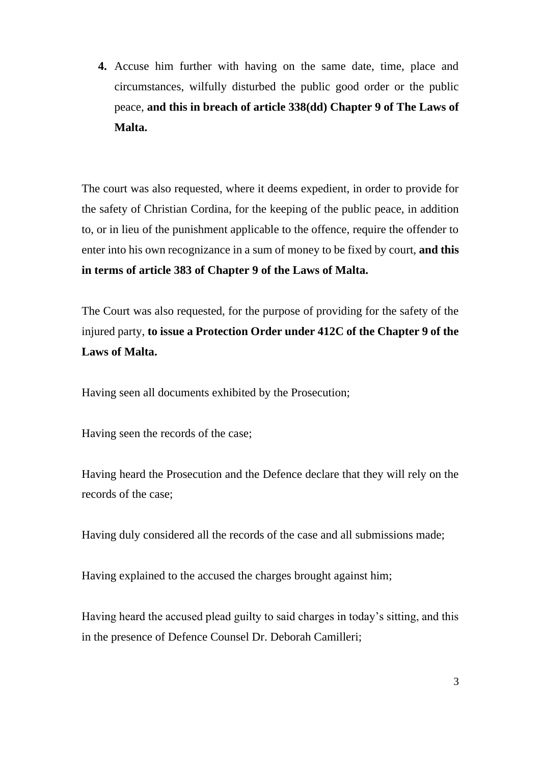**4.** Accuse him further with having on the same date, time, place and circumstances, wilfully disturbed the public good order or the public peace, **and this in breach of article 338(dd) Chapter 9 of The Laws of Malta.**

The court was also requested, where it deems expedient, in order to provide for the safety of Christian Cordina, for the keeping of the public peace, in addition to, or in lieu of the punishment applicable to the offence, require the offender to enter into his own recognizance in a sum of money to be fixed by court, **and this in terms of article 383 of Chapter 9 of the Laws of Malta.**

The Court was also requested, for the purpose of providing for the safety of the injured party, **to issue a Protection Order under 412C of the Chapter 9 of the Laws of Malta.**

Having seen all documents exhibited by the Prosecution;

Having seen the records of the case;

Having heard the Prosecution and the Defence declare that they will rely on the records of the case;

Having duly considered all the records of the case and all submissions made;

Having explained to the accused the charges brought against him;

Having heard the accused plead guilty to said charges in today's sitting, and this in the presence of Defence Counsel Dr. Deborah Camilleri;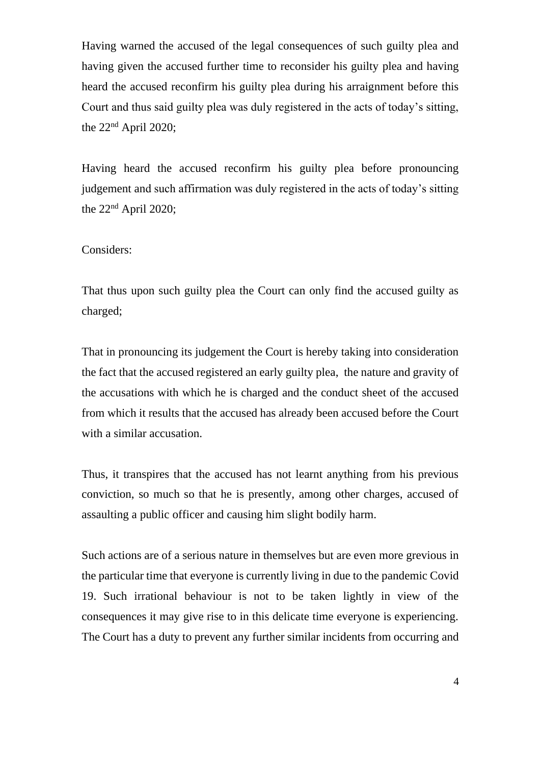Having warned the accused of the legal consequences of such guilty plea and having given the accused further time to reconsider his guilty plea and having heard the accused reconfirm his guilty plea during his arraignment before this Court and thus said guilty plea was duly registered in the acts of today's sitting, the 22nd April 2020;

Having heard the accused reconfirm his guilty plea before pronouncing judgement and such affirmation was duly registered in the acts of today's sitting the  $22<sup>nd</sup>$  April 2020;

## Considers:

That thus upon such guilty plea the Court can only find the accused guilty as charged;

That in pronouncing its judgement the Court is hereby taking into consideration the fact that the accused registered an early guilty plea, the nature and gravity of the accusations with which he is charged and the conduct sheet of the accused from which it results that the accused has already been accused before the Court with a similar accusation.

Thus, it transpires that the accused has not learnt anything from his previous conviction, so much so that he is presently, among other charges, accused of assaulting a public officer and causing him slight bodily harm.

Such actions are of a serious nature in themselves but are even more grevious in the particular time that everyone is currently living in due to the pandemic Covid 19. Such irrational behaviour is not to be taken lightly in view of the consequences it may give rise to in this delicate time everyone is experiencing. The Court has a duty to prevent any further similar incidents from occurring and